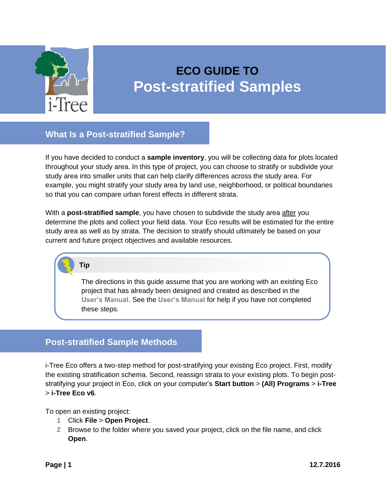

# **ECO GUIDE TO Post-stratified Samples**

**What Is a Post-stratified Sample?**

If you have decided to conduct a **sample inventory**, you will be collecting data for plots located throughout your study area. In this type of project, you can choose to stratify or subdivide your study area into smaller units that can help clarify differences across the study area. For example, you might stratify your study area by land use, neighborhood, or political boundaries so that you can compare urban forest effects in different strata.

With a **post-stratified sample**, you have chosen to subdivide the study area after you determine the plots and collect your field data. Your Eco results will be estimated for the entire study area as well as by strata. The decision to stratify should ultimately be based on your current and future project objectives and available resources.

**Tip**

The directions in this guide assume that you are working with an existing Eco project that has already been designed and created as described in the **[User's Manual](https://www.itreetools.org/resources/manuals/Ecov6_ManualsGuides/Ecov6_UsersManual.pdf)**. See the **[User's Manual](https://www.itreetools.org/resources/manuals/Ecov6_ManualsGuides/Ecov6_UsersManual.pdf)** for help if you have not completed these steps.

## **Post-stratified Sample Methods**

i-Tree Eco offers a two-step method for post-stratifying your existing Eco project. First, modify the existing stratification schema. Second, reassign strata to your existing plots. To begin poststratifying your project in Eco, click on your computer's **Start button** > **(All) Programs** > **i-Tree** > **i-Tree Eco v6**.

To open an existing project:

- **1** Click **File** > **Open Project**.
- **2** Browse to the folder where you saved your project, click on the file name, and click **Open**.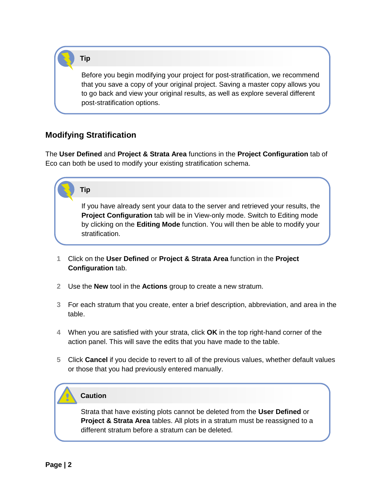**Tip**

Before you begin modifying your project for post-stratification, we recommend that you save a copy of your original project. Saving a master copy allows you to go back and view your original results, as well as explore several different post-stratification options.

## **Modifying Stratification**

The **User Defined** and **Project & Strata Area** functions in the **Project Configuration** tab of Eco can both be used to modify your existing stratification schema.

# **Tip**

If you have already sent your data to the server and retrieved your results, the **Project Configuration** tab will be in View-only mode. Switch to Editing mode by clicking on the **Editing Mode** function. You will then be able to modify your stratification.

- **1** Click on the **User Defined** or **Project & Strata Area** function in the **Project Configuration** tab.
- **2** Use the **New** tool in the **Actions** group to create a new stratum.
- **3** For each stratum that you create, enter a brief description, abbreviation, and area in the table.
- **4** When you are satisfied with your strata, click **OK** in the top right-hand corner of the action panel. This will save the edits that you have made to the table.
- **5** Click **Cancel** if you decide to revert to all of the previous values, whether default values or those that you had previously entered manually.

### **Caution**

Strata that have existing plots cannot be deleted from the **User Defined** or **Project & Strata Area** tables. All plots in a stratum must be reassigned to a different stratum before a stratum can be deleted.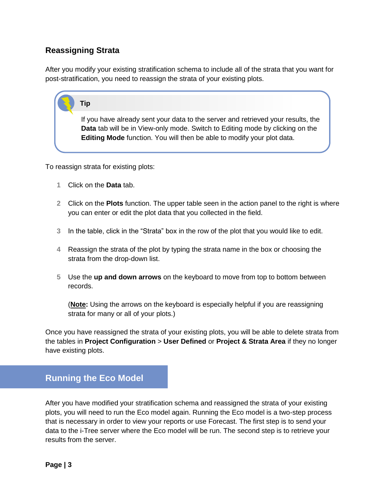## **Reassigning Strata**

After you modify your existing stratification schema to include all of the strata that you want for post-stratification, you need to reassign the strata of your existing plots.

#### **Tip**

If you have already sent your data to the server and retrieved your results, the **Data** tab will be in View-only mode. Switch to Editing mode by clicking on the **Editing Mode** function. You will then be able to modify your plot data.

To reassign strata for existing plots:

- **1** Click on the **Data** tab.
- **2** Click on the **Plots** function. The upper table seen in the action panel to the right is where you can enter or edit the plot data that you collected in the field.
- **3** In the table, click in the "Strata" box in the row of the plot that you would like to edit.
- **4** Reassign the strata of the plot by typing the strata name in the box or choosing the strata from the drop-down list.
- **5** Use the **up and down arrows** on the keyboard to move from top to bottom between records.

(**Note:** Using the arrows on the keyboard is especially helpful if you are reassigning strata for many or all of your plots.)

Once you have reassigned the strata of your existing plots, you will be able to delete strata from the tables in **Project Configuration** > **User Defined** or **Project & Strata Area** if they no longer have existing plots.

# **Running the Eco Model**

After you have modified your stratification schema and reassigned the strata of your existing plots, you will need to run the Eco model again. Running the Eco model is a two-step process that is necessary in order to view your reports or use Forecast. The first step is to send your data to the i-Tree server where the Eco model will be run. The second step is to retrieve your results from the server.